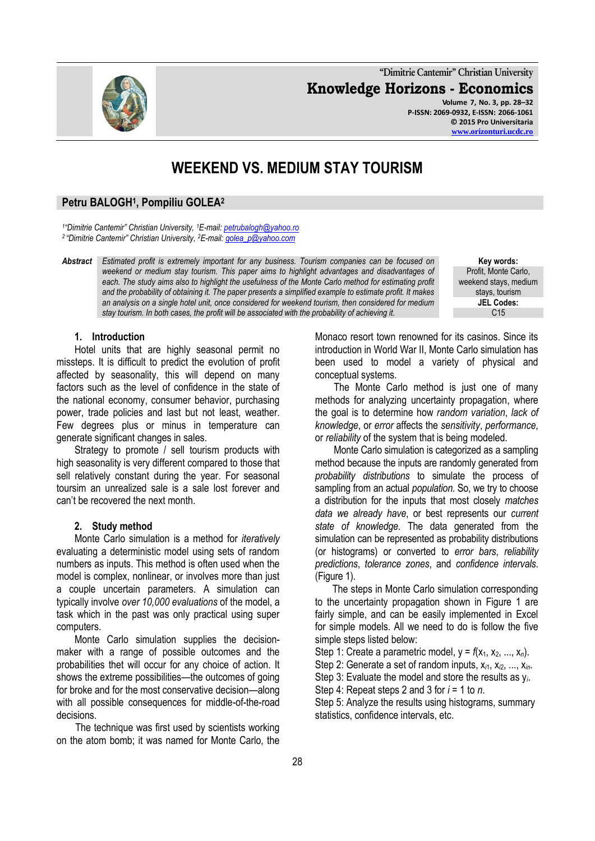**"Dimitrie Cantemir" Christian University Knowledge Horizons - Economics Volume 7, No. 3, pp. 28–32 P-ISSN: 2069-0932, E-ISSN: 2066-1061 © 2015 Pro Universitaria**

# **WEEKEND VS. MEDIUM STAY TOURISM**

# **Petru BALOGH<sup>1</sup> , Pompiliu GOLEA<sup>2</sup>**

*1 "Dimitrie Cantemir" Christian University, <sup>1</sup>E-mail[: petrubalogh@yahoo.ro](mailto:petrubalogh@yahoo.ro) <sup>2</sup>"Dimitrie Cantemir" Christian University, <sup>2</sup>E-mail[: golea\\_p@yahoo.com](mailto:golea_p@yahoo.com)*

*Abstract Estimated profit is extremely important for any business. Tourism companies can be focused on weekend or medium stay tourism. This paper aims to highlight advantages and disadvantages of each. The study aims also to highlight the usefulness of the Monte Carlo method for estimating profit and the probability of obtaining it. The paper presents a simplified example to estimate profit. It makes an analysis on a single hotel unit, once considered for weekend tourism, then considered for medium stay tourism. In both cases, the profit will be associated with the probability of achieving it.*

**Key words:** Profit, Monte Carlo, weekend stays, medium stays, tourism **JEL Codes:**  $C<sub>15</sub>$ 

#### **1. Introduction**

Hotel units that are highly seasonal permit no missteps. It is difficult to predict the evolution of profit affected by seasonality, this will depend on many factors such as the level of confidence in the state of the national economy, consumer behavior, purchasing power, trade policies and last but not least, weather. Few degrees plus or minus in temperature can generate significant changes in sales.

Strategy to promote / sell tourism products with high seasonality is very different compared to those that sell relatively constant during the year. For seasonal toursim an unrealized sale is a sale lost forever and can't be recovered the next month.

#### **2. Study method**

Monte Carlo simulation is a method for *iteratively* evaluating a deterministic model using sets of random numbers as inputs. This method is often used when the model is complex, nonlinear, or involves more than just a couple uncertain parameters. A simulation can typically involve *over 10,000 evaluations* of the model, a task which in the past was only practical using super computers.

Monte Carlo simulation supplies the decisionmaker with a range of possible outcomes and the probabilities thet will occur for any choice of action. It shows the extreme possibilities—the outcomes of going for broke and for the most conservative decision—along with all possible consequences for middle-of-the-road decisions.

The technique was first used by scientists working on the atom bomb; it was named for Monte Carlo, the Monaco resort town renowned for its casinos. Since its introduction in World War II, Monte Carlo simulation has been used to model a variety of physical and conceptual systems.

The Monte Carlo method is just one of many methods for analyzing uncertainty propagation, where the goal is to determine how *random variation*, *lack of knowledge*, or *error* affects the *sensitivity*, *performance*, or *reliability* of the system that is being modeled.

Monte Carlo simulation is categorized as a sampling method because the inputs are randomly generated from *probability distributions* to simulate the process of sampling from an actual *population*. So, we try to choose a distribution for the inputs that most closely *matches data we already have*, or best represents our *current state of knowledge*. The data generated from the simulation can be represented as probability distributions (or histograms) or converted to *error bars*, *reliability predictions*, *tolerance zones*, and *confidence intervals*. (Figure 1).

The steps in Monte Carlo simulation corresponding to the uncertainty propagation shown in Figure 1 are fairly simple, and can be easily implemented in Excel for simple models. All we need to do is follow the five simple steps listed below:

Step 1: Create a parametric model,  $y = f(x_1, x_2, ..., x_n)$ .

Step 2: Generate a set of random inputs, x*<sup>i</sup>*1, x*<sup>i</sup>*2, ..., x*in*.

Step 3: Evaluate the model and store the results as y*i*.

Step 4: Repeat steps 2 and 3 for *i* = 1 to *n*.

Step 5: Analyze the results using histograms, summary statistics, confidence intervals, etc.

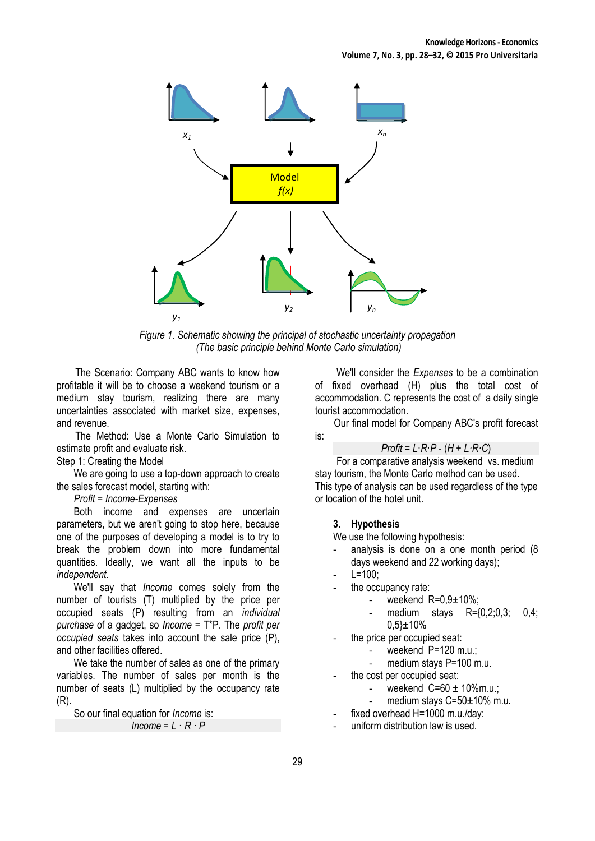

*Figure 1. Schematic showing the principal of stochastic uncertainty propagation (The basic principle behind Monte Carlo simulation)*

The Scenario: Company ABC wants to know how profitable it will be to choose a weekend tourism or a medium stay tourism, realizing there are many uncertainties associated with market size, expenses, and revenue.

The Method: Use a Monte Carlo Simulation to estimate profit and evaluate risk.

Step 1: Creating the Model

We are going to use a top-down approach to create the sales forecast model, starting with:

*Profit = Income-Expenses*

Both income and expenses are uncertain parameters, but we aren't going to stop here, because one of the purposes of developing a model is to try to break the problem down into more fundamental quantities. Ideally, we want all the inputs to be *independent*.

We'll say that *Income* comes solely from the number of tourists (T) multiplied by the price per occupied seats (P) resulting from an *individual purchase* of a gadget, so *Income* = T\*P. The *profit per occupied seats* takes into account the sale price (P), and other facilities offered.

We take the number of sales as one of the primary variables. The number of sales per month is the number of seats (L) multiplied by the occupancy rate (R).

So our final equation for *Income* is:

```
Income = L \cdot R \cdot P
```
We'll consider the *Expenses* to be a combination of fixed overhead (H) plus the total cost of accommodation. C represents the cost of a daily single tourist accommodation.

Our final model for Company ABC's profit forecast is:

*Profit* = *L*·*R*·*P* - (*H* + *L·R·C*)

For a comparative analysis weekend vs. medium stay tourism, the Monte Carlo method can be used. This type of analysis can be used regardless of the type or location of the hotel unit.

# **3. Hypothesis**

We use the following hypothesis:

- analysis is done on a one month period (8) days weekend and 22 working days);
- $L = 100$ :
- the occupancy rate:
	- weekend  $R=0.9\pm10\%$ :
	- medium stays R={0,2;0,3; 0,4; 0,5}±10%

the price per occupied seat:

- weekend P=120 m.u.;
- medium stays P=100 m.u.
- the cost per occupied seat:
	- weekend  $C = 60 \pm 10\%$ m.u.;
	- medium stays C=50±10% m.u.
	- fixed overhead H=1000 m.u./day:
- uniform distribution law is used.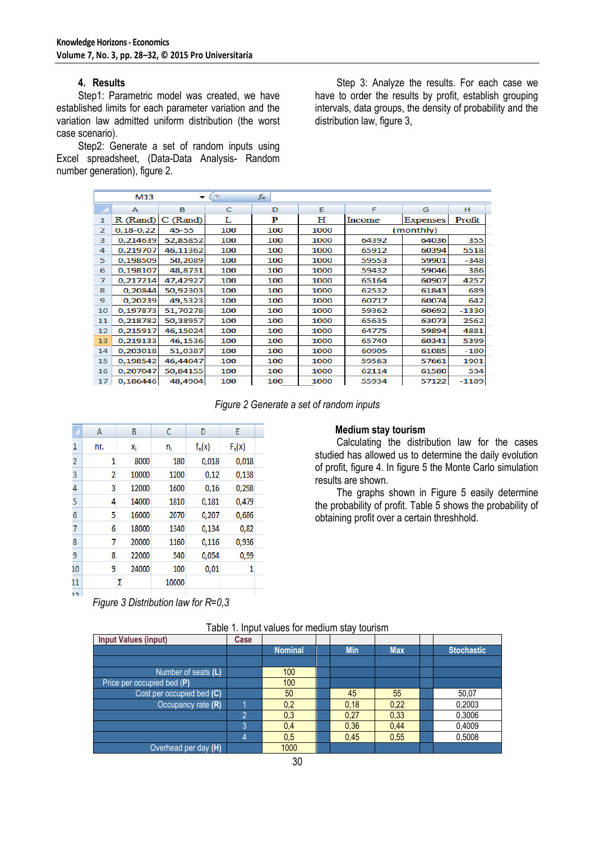### **4. Results**

Step1: Parametric model was created, we have established limits for each parameter variation and the variation law admitted uniform distribution (the worst case scenario).

Step2: Generate a set of random inputs using Excel spreadsheet, (Data-Data Analysis- Random number generation), figure 2.

Step 3: Analyze the results. For each case we have to order the results by profit, establish grouping intervals, data groups, the density of probability and the distribution law, figure 3,

|                | M13         |          |     | $f_x$ |      |        |           |         |
|----------------|-------------|----------|-----|-------|------|--------|-----------|---------|
|                | А           | в        | C   | D     | Е    | F      | G         | н       |
| 1              | R (Rand)    | C (Rand) | L   | P     | н    | Income | Expenses  | Profit  |
| $\overline{2}$ | $0,18-0,22$ | 45-55    | 100 | 100   | 1000 |        | (monthly) |         |
| 3              | 0.214639    | 52.85852 | 100 | 100   | 1000 | 64392  | 64036     | 355     |
| 4              | 0.219707    | 46,11362 | 100 | 100   | 1000 | 65912  | 60394     | 5518    |
| 5              | 0.198509    | 50,2089  | 100 | 100   | 1000 | 59553  | 59901     | $-348$  |
| 6              | 0,198107    | 48,8731  | 100 | 100   | 1000 | 59432  | 59046     | 386     |
| 7              | 0,217214    | 47,42927 | 100 | 100   | 1000 | 65164  | 60907     | 4257    |
| 8              | 0,20844     | 50,92303 | 100 | 100   | 1000 | 62532  | 61843     | 689     |
| 9              | 0,20239     | 49,5323  | 100 | 100   | 1000 | 60717  | 60074     | 642     |
| 10             | 0,197873    | 51,70278 | 100 | 100   | 1000 | 59362  | 60692     | $-1330$ |
| 11             | 0,218782    | 50,38957 | 100 | 100   | 1000 | 65635  | 63073     | 2562    |
| 12             | 0,215917    | 46,15024 | 100 | 100   | 1000 | 64775  | 59894     | 4881    |
| 13             | 0,219133    | 46,1536  | 100 | 100   | 1000 | 65740  | 60341     | 5399    |
| 14             | 0,203018    | 51.0387  | 100 | 100   | 1000 | 60905  | 61085     | $-180$  |
| 15             | 0.198542    | 46,44047 | 100 | 100   | 1000 | 59563  | 57661     | 1901    |
| 16             | 0,207047    | 50,84155 | 100 | 100   | 1000 | 62114  | 61580     | 534     |
| 17             | 0,186446    | 48,4904  | 100 | 100   | 1000 | 55934  | 57122     | $-1189$ |

*Figure 2 Generate a set of random inputs*

|      | A   | B     | C     | D        | E        |  |
|------|-----|-------|-------|----------|----------|--|
| 1    | nr. | X,    | n,    | $f_n(x)$ | $F_n(x)$ |  |
| 2    | 1   | 8000  | 180   | 0,018    | 0,018    |  |
| 3    | 2   | 10000 | 1200  | 0,12     | 0,138    |  |
| 4    | 3   | 12000 | 1600  | 0,16     | 0,298    |  |
| 5    | 4   | 14000 | 1810  | 0,181    | 0,479    |  |
| 6    | 5   | 16000 | 2070  | 0,207    | 0,686    |  |
| 7    | 6   | 18000 | 1340  | 0,134    | 0,82     |  |
| 8    | 7   | 20000 | 1160  | 0,116    | 0,936    |  |
| 9    | 8   | 22000 | 540   | 0,054    | 0,99     |  |
| 10   | 9   | 24000 | 100   | 0,01     | 1        |  |
| 11   |     | Σ     | 10000 |          |          |  |
| ו פו |     |       |       |          |          |  |

*Figure 3 Distribution law for R=0,3*

### **Medium stay tourism**

Calculating the distribution law for the cases studied has allowed us to determine the daily evolution of profit, figure 4. In figure 5 the Monte Carlo simulation results are shown.

The graphs shown in Figure 5 easily determine the probability of profit. Table 5 shows the probability of obtaining profit over a certain threshhold.

| <b>Input Values (input)</b> | Case |                |            |            |                   |
|-----------------------------|------|----------------|------------|------------|-------------------|
|                             |      | <b>Nominal</b> | <b>Min</b> | <b>Max</b> | <b>Stochastic</b> |
|                             |      |                |            |            |                   |
| Number of seats (L)         |      | 100            |            |            |                   |
| Price per occupied bed (P)  |      | 100            |            |            |                   |
| Cost per occupied bed (C)   |      | 50             | 45         | 55         | 50,07             |
| Occupancy rate (R)          |      | 0,2            | 0,18       | 0,22       | 0,2003            |
|                             | റ    | 0,3            | 0,27       | 0,33       | 0,3006            |
|                             | 3    | 0,4            | 0,36       | 0.44       | 0.4009            |
|                             | 4    | 0,5            | 0,45       | 0,55       | 0,5008            |
| Overhead per day (H)        |      | 1000           |            |            |                   |

Table 1. Input values for medium stay tourism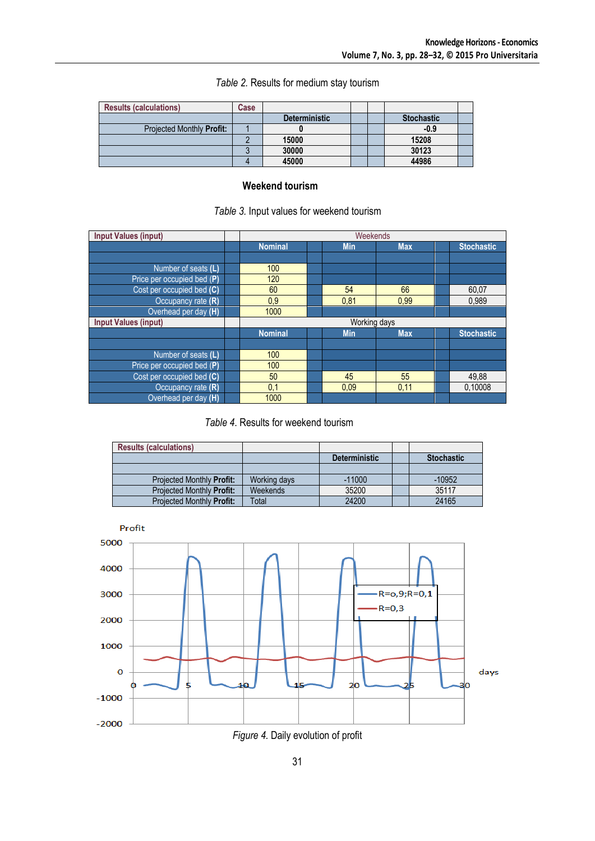| <b>Results (calculations)</b> | Case |                      |  |                   |  |
|-------------------------------|------|----------------------|--|-------------------|--|
|                               |      | <b>Deterministic</b> |  | <b>Stochastic</b> |  |
| Projected Monthly Profit:     |      |                      |  | $-0.9$            |  |
|                               |      | 15000                |  | 15208             |  |
|                               |      | 30000                |  | 30123             |  |
|                               |      | 45000                |  | 44986             |  |

*Table 2.* Results for medium stay tourism

## **Weekend tourism**

## *Table 3.* Input values for weekend tourism

| <b>Input Values (input)</b> |  |                |  | Weekends   |            |  |                   |  |
|-----------------------------|--|----------------|--|------------|------------|--|-------------------|--|
|                             |  | <b>Nominal</b> |  | <b>Min</b> | <b>Max</b> |  | <b>Stochastic</b> |  |
|                             |  |                |  |            |            |  |                   |  |
| Number of seats (L)         |  | 100            |  |            |            |  |                   |  |
| Price per occupied bed (P)  |  | 120            |  |            |            |  |                   |  |
| Cost per occupied bed (C)   |  | 60             |  | 54         | 66         |  | 60,07             |  |
| Occupancy rate (R)          |  | 0.9            |  | 0.81       | 0.99       |  | 0,989             |  |
| Overhead per day (H)        |  | 1000           |  |            |            |  |                   |  |
| <b>Input Values (input)</b> |  | Working days   |  |            |            |  |                   |  |
|                             |  | <b>Nominal</b> |  | <b>Min</b> | <b>Max</b> |  | <b>Stochastic</b> |  |
|                             |  |                |  |            |            |  |                   |  |
| Number of seats (L)         |  | 100            |  |            |            |  |                   |  |
| Price per occupied bed (P)  |  | 100            |  |            |            |  |                   |  |
| Cost per occupied bed (C)   |  | 50             |  | 45         | 55         |  | 49,88             |  |
| Occupancy rate (R)          |  | 0,1            |  | 0.09       | 0,11       |  | 0,10008           |  |
| Overhead per day (H)        |  | 1000           |  |            |            |  |                   |  |

# *Table 4*. Results for weekend tourism

| <b>Results (calculations)</b> |              |                      |                   |
|-------------------------------|--------------|----------------------|-------------------|
|                               |              | <b>Deterministic</b> | <b>Stochastic</b> |
|                               |              |                      |                   |
| Projected Monthly Profit:     | Working days | $-11000$             | $-10952$          |
| Projected Monthly Profit:     | Weekends     | 35200                | 35117             |
| Projected Monthly Profit:     | Total        | 24200                | 24165             |